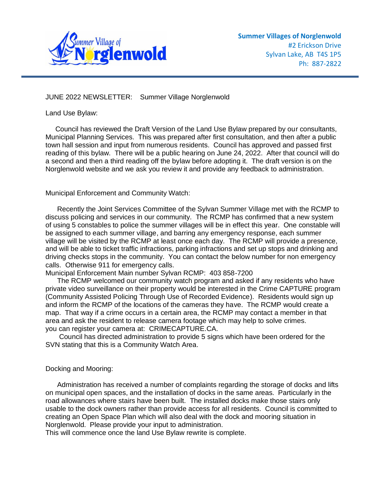

## JUNE 2022 NEWSLETTER: Summer Village Norglenwold

Land Use Bylaw:

 Council has reviewed the Draft Version of the Land Use Bylaw prepared by our consultants, Municipal Planning Services. This was prepared after first consultation, and then after a public town hall session and input from numerous residents. Council has approved and passed first reading of this bylaw. There will be a public hearing on June 24, 2022. After that council will do a second and then a third reading off the bylaw before adopting it. The draft version is on the Norglenwold website and we ask you review it and provide any feedback to administration.

Municipal Enforcement and Community Watch:

 Recently the Joint Services Committee of the Sylvan Summer Village met with the RCMP to discuss policing and services in our community. The RCMP has confirmed that a new system of using 5 constables to police the summer villages will be in effect this year. One constable will be assigned to each summer village, and barring any emergency response, each summer village will be visited by the RCMP at least once each day. The RCMP will provide a presence, and will be able to ticket traffic infractions, parking infractions and set up stops and drinking and driving checks stops in the community. You can contact the below number for non emergency calls. Otherwise 911 for emergency calls.

Municipal Enforcement Main number Sylvan RCMP: 403 858-7200

 The RCMP welcomed our community watch program and asked if any residents who have private video surveillance on their property would be interested in the Crime CAPTURE program (Community Assisted Policing Through Use of Recorded Evidence). Residents would sign up and inform the RCMP of the locations of the cameras they have. The RCMP would create a map. That way if a crime occurs in a certain area, the RCMP may contact a member in that area and ask the resident to release camera footage which may help to solve crimes. you can register your camera at: CRIMECAPTURE.CA.

 Council has directed administration to provide 5 signs which have been ordered for the SVN stating that this is a Community Watch Area.

## Docking and Mooring:

 Administration has received a number of complaints regarding the storage of docks and lifts on municipal open spaces, and the installation of docks in the same areas. Particularly in the road allowances where stairs have been built. The installed docks make those stairs only usable to the dock owners rather than provide access for all residents. Council is committed to creating an Open Space Plan which will also deal with the dock and mooring situation in Norglenwold. Please provide your input to administration.

This will commence once the land Use Bylaw rewrite is complete.